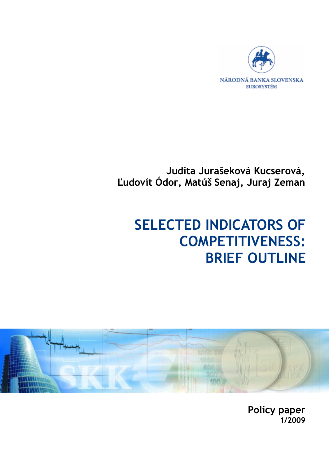

# **Judita Jurašeková Kucserová, Ľudovít Ódor, Matúš Senaj, Juraj Zeman**

# **SELECTED INDICATORS OF COMPETITIVENESS: BRIEF OUTLINE**



**Policy paper 1/2009**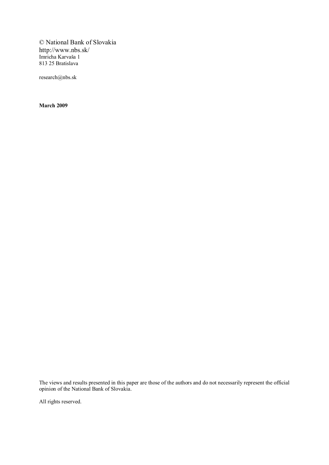© National Bank of Slovakia http://www.nbs.sk/ Imricha Karvaša 1 813 25 Bratislava

research@nbs.sk

**March 2009**

The views and results presented in this paper are those of the authors and do not necessarily represent the official opinion of the National Bank of Slovakia.

All rights reserved.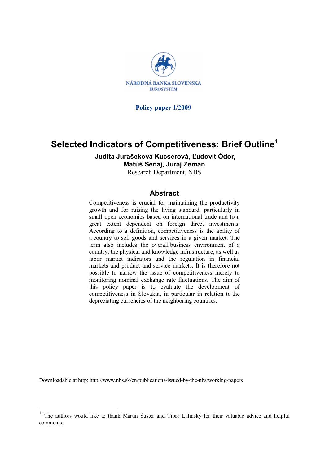

**Policy paper 1/2009** 

# **Selected Indicators of Competitiveness: Brief Outline<sup>1</sup>**

**Judita Jurašeková Kucserová, Ľudovít Ódor,** 

#### **Matúš Senaj, Juraj Zeman**

Research Department, NBS

#### **Abstract**

Competitiveness is crucial for maintaining the productivity growth and for raising the living standard, particularly in small open economies based on international trade and to a great extent dependent on foreign direct investments. According to a definition, competitiveness is the ability of a country to sell goods and services in a given market. The term also includes the overall business environment of a country, the physical and knowledge infrastructure, as well as labor market indicators and the regulation in financial markets and product and service markets. It is therefore not possible to narrow the issue of competitiveness merely to monitoring nominal exchange rate fluctuations. The aim of this policy paper is to evaluate the development of competitiveness in Slovakia, in particular in relation to the depreciating currencies of the neighboring countries.

Downloadable at http: http://www.nbs.sk/en/publications-issued-by-the-nbs/working-papers

 $\overline{a}$ 

<sup>1</sup> The authors would like to thank Martin Šuster and Tibor Lalinský for their valuable advice and helpful comments.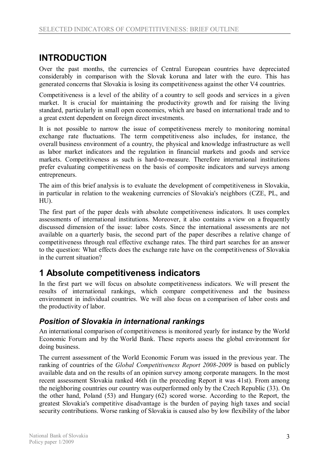# **INTRODUCTION**

Over the past months, the currencies of Central European countries have depreciated considerably in comparison with the Slovak koruna and later with the euro. This has generated concerns that Slovakia is losing its competitiveness against the other V4 countries.

Competitiveness is a level of the ability of a country to sell goods and services in a given market. It is crucial for maintaining the productivity growth and for raising the living standard, particularly in small open economies, which are based on international trade and to a great extent dependent on foreign direct investments.

It is not possible to narrow the issue of competitiveness merely to monitoring nominal exchange rate fluctuations. The term competitiveness also includes, for instance, the overall business environment of a country, the physical and knowledge infrastructure as well as labor market indicators and the regulation in financial markets and goods and service markets. Competitiveness as such is hard-to-measure. Therefore international institutions prefer evaluating competitiveness on the basis of composite indicators and surveys among entrepreneurs.

The aim of this brief analysis is to evaluate the development of competitiveness in Slovakia, in particular in relation to the weakening currencies of Slovakia's neighbors (CZE, PL, and HU).

The first part of the paper deals with absolute competitiveness indicators. It uses complex assessments of international institutions. Moreover, it also contains a view on a frequently discussed dimension of the issue: labor costs. Since the international assessments are not available on a quarterly basis, the second part of the paper describes a relative change of competitiveness through real effective exchange rates. The third part searches for an answer to the question: What effects does the exchange rate have on the competitiveness of Slovakia in the current situation?

# **1 Absolute competitiveness indicators**

In the first part we will focus on absolute competitiveness indicators. We will present the results of international rankings, which compare competitiveness and the business environment in individual countries. We will also focus on a comparison of labor costs and the productivity of labor.

## *Position of Slovakia in international rankings*

An international comparison of competitiveness is monitored yearly for instance by the World Economic Forum and by the World Bank. These reports assess the global environment for doing business.

The current assessment of the World Economic Forum was issued in the previous year. The ranking of countries of the *Global Competitiveness Report 2008-2009* is based on publicly available data and on the results of an opinion survey among corporate managers. In the most recent assessment Slovakia ranked 46th (in the preceding Report it was 41st). From among the neighboring countries our country was outperformed only by the Czech Republic (33). On the other hand, Poland (53) and Hungary (62) scored worse. According to the Report, the greatest Slovakia's competitive disadvantage is the burden of paying high taxes and social security contributions. Worse ranking of Slovakia is caused also by low flexibility of the labor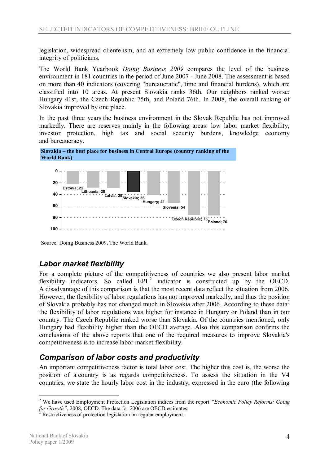legislation, widespread clientelism, and an extremely low public confidence in the financial integrity of politicians.

The World Bank Yearbook *Doing Business 2009* compares the level of the business environment in 181 countries in the period of June 2007 - June 2008. The assessment is based on more than 40 indicators (covering "bureaucratic", time and financial burdens), which are classified into 10 areas. At present Slovakia ranks 36th. Our neighbors ranked worse: Hungary 41st, the Czech Republic 75th, and Poland 76th. In 2008, the overall ranking of Slovakia improved by one place.

In the past three years the business environment in the Slovak Republic has not improved markedly. There are reserves mainly in the following areas: low labor market flexibility, investor protection, high tax and social security burdens, knowledge economy and bureaucracy.





Source: Doing Business 2009, The World Bank.

## *Labor market flexibility*

For a complete picture of the competitiveness of countries we also present labor market flexibility indicators. So called  $EPL<sup>2</sup>$  indicator is constructed up by the OECD. A disadvantage of this comparison is that the most recent data reflect the situation from 2006. However, the flexibility of labor regulations has not improved markedly, and thus the position of Slovakia probably has not changed much in Slovakia after 2006. According to these data<sup>3</sup> the flexibility of labor regulations was higher for instance in Hungary or Poland than in our country. The Czech Republic ranked worse than Slovakia. Of the countries mentioned, only Hungary had flexibility higher than the OECD average. Also this comparison confirms the conclusions of the above reports that one of the required measures to improve Slovakia's competitiveness is to increase labor market flexibility.

## *Comparison of labor costs and productivity*

An important competitiveness factor is total labor cost. The higher this cost is, the worse the position of a country is as regards competitiveness. To assess the situation in the V4 countries, we state the hourly labor cost in the industry, expressed in the euro (the following

 $\overline{a}$ <sup>2</sup> We have used Employment Protection Legislation indices from the report *"Economic Policy Reforms: Going for Growth"*, 2008, OECD. The data for 2006 are OECD estimates.

Restrictiveness of protection legislation on regular employment.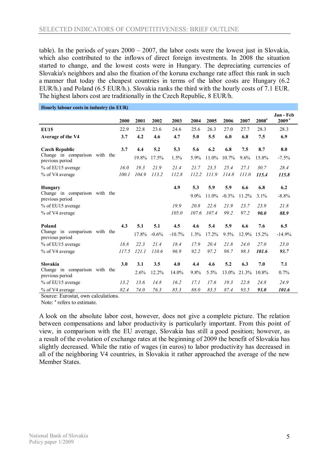table). In the periods of years 2000 – 2007, the labor costs were the lowest just in Slovakia, which also contributed to the inflows of direct foreign investments. In 2008 the situation started to change, and the lowest costs were in Hungary. The depreciating currencies of Slovakia's neighbors and also the fixation of the koruna exchange rate affect this rank in such a manner that today the cheapest countries in terms of the labor costs are Hungary (6.2 EUR/h.) and Poland (6.5 EUR/h.). Slovakia ranks the third with the hourly costs of 7.1 EUR. The highest labors cost are traditionally in the Czech Republic, 8 EUR/h.

|                                                                           |  | 2000          | 2001          | 2002           | 2003            | 2004           | 2005          | 2006           | 2007          | $2008^e$      | Jan - Feb<br>2009 <sup>e</sup> |
|---------------------------------------------------------------------------|--|---------------|---------------|----------------|-----------------|----------------|---------------|----------------|---------------|---------------|--------------------------------|
| <b>EU15</b><br>Average of the V4                                          |  | 22.9<br>3.7   | 22.8<br>4.2   | 23.6<br>4.6    | 24.6<br>4.7     | 25.6<br>5.0    | 26.3<br>5.5   | 27.0<br>6.0    | 27.7<br>6.8   | 28.3<br>7.5   | 28.3<br>6.9                    |
| <b>Czech Republic</b><br>Change in comparison with the<br>previous period |  | 3.7           | 4.4<br>19.8%  | 5.2<br>17.5%   | 5.3<br>1.5%     | 5.6<br>5.9%    | 6.2<br>11.0%  | 6.8<br>10.7%   | 7.5<br>9.6%   | 8.7<br>15.8%  | 8.0<br>$-7.5%$                 |
| % of EU15 average<br>% of V4 average                                      |  | 16.0<br>100.1 | 19.3<br>104.9 | 21.9<br>113.2  | 21.4<br>112.8   | 21.7<br>112.2  | 23.5<br>111.9 | 25.4<br>114.8  | 27.1<br>111.0 | 30.7<br>115.4 | 28.4<br>115.8                  |
| Hungary<br>Change in comparison with the<br>previous period               |  |               |               |                | 4.9             | 5.3<br>$9.0\%$ | 5.9<br>11.0%  | 5.9<br>$-0.3%$ | 6.6<br>11.2%  | 6.8<br>3.1%   | 6.2<br>$-8.8%$                 |
| % of EU15 average<br>% of V4 average                                      |  |               |               |                | 19.9<br>105.0   | 20.8<br>107.6  | 22.6<br>107.4 | 21.9<br>99.2   | 23.7<br>97.2  | 23.9<br>90.0  | 21.8<br>88.9                   |
| Poland<br>Change in comparison with the<br>previous period                |  | 4.3           | 5.1<br>17.8%  | 5.1<br>$-0.6%$ | 4.5<br>$-10.7%$ | 4.6<br>1.3%    | 5.4<br>17.2%  | 5.9<br>9.5%    | 6.6<br>12.9%  | 7.6<br>15.2%  | 6.5<br>$-14.9%$                |
| % of EU15 average<br>% of V4 average                                      |  | 18.8<br>117.5 | 22.3<br>121.1 | 21.4<br>110.6  | 18.4<br>96.9    | 17.9<br>92.2   | 20.4<br>97.2  | 21.8<br>98.7   | 24.0<br>98.3  | 27.0<br>101.6 | 23.0<br>93.7                   |
| Slovakia<br>Change in comparison with the<br>previous period              |  | 3.0           | 3.1<br>2.6%   | 3.5<br>12.2%   | 4.0<br>14.0%    | 4.4<br>9.8%    | 4.6<br>5.5%   | 5.2<br>13.0%   | 6.3<br>21.3%  | 7.0<br>10.8%  | 7.1<br>0.7%                    |
| % of EU15 average<br>% of V4 average                                      |  | 13.2<br>82.4  | 13.6<br>74.0  | 14.8<br>76.3   | 16.2<br>85.3    | 17.1<br>88.0   | 17.6<br>83.5  | 19.3<br>87.4   | 22.8<br>93.5  | 24.8<br>93.0  | 24.9<br>101.6                  |

**Hourly labour costs in industry (in EUR)** 

Source: Eurostat, own calculations.

Note:  $e$  refers to estimate.

A look on the absolute labor cost, however, does not give a complete picture. The relation between compensations and labor productivity is particularly important. From this point of view, in comparison with the EU average, Slovakia has still a good position; however, as a result of the evolution of exchange rates at the beginning of 2009 the benefit of Slovakia has slightly decreased. While the ratio of wages (in euros) to labor productivity has decreased in all of the neighboring V4 countries, in Slovakia it rather approached the average of the new Member States.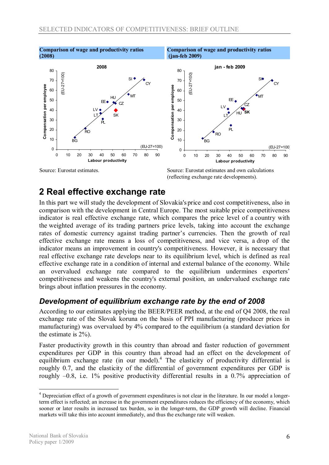

# (reflecting exchange rate developments).

# **2 Real effective exchange rate**

In this part we will study the development of Slovakia's price and cost competitiveness, also in comparison with the development in Central Europe. The most suitable price competitiveness indicator is real effective exchange rate, which compares the price level of a country with the weighted average of its trading partners price levels, taking into account the exchange rates of domestic currency against trading partner's currencies. Then the growth of real effective exchange rate means a loss of competitiveness, and vice versa, a drop of the indicator means an improvement in country's competitiveness. However, it is necessary that real effective exchange rate develops near to its equilibrium level, which is defined as real effective exchange rate in a condition of internal and external balance of the economy. While an overvalued exchange rate compared to the equilibrium undermines exporters' competitiveness and weakens the country's external position, an undervalued exchange rate brings about inflation pressures in the economy.

## *Development of equilibrium exchange rate by the end of 2008*

According to our estimates applying the BEER/PEER method, at the end of Q4 2008, the real exchange rate of the Slovak koruna on the basis of PPI manufacturing (producer prices in manufacturing) was overvalued by 4% compared to the equilibrium (a standard deviation for the estimate is 2%).

Faster productivity growth in this country than abroad and faster reduction of government expenditures per GDP in this country than abroad had an effect on the development of equilibrium exchange rate (in our model).<sup>4</sup> The elasticity of productivity differential is roughly 0.7, and the elasticity of the differential of government expenditures per GDP is roughly –0.8, i.e. 1% positive productivity differential results in a 0.7% appreciation of

 $\overline{a}$ 

<sup>4</sup> Depreciation effect of a growth of government expenditures is not clear in the literature. In our model a longerterm effect is reflected; an increase in the government expenditures reduces the efficiency of the economy, which sooner or later results in increased tax burden, so in the longer-term, the GDP growth will decline. Financial markets will take this into account immediately, and thus the exchange rate will weaken.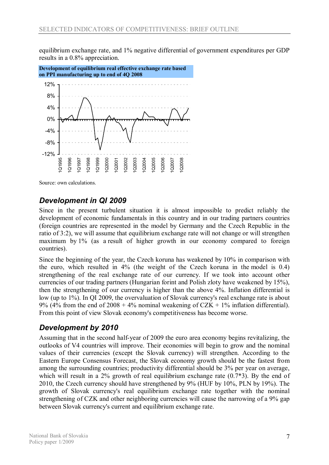equilibrium exchange rate, and 1% negative differential of government expenditures per GDP results in a 0.8% appreciation.



Source: own calculations.

## *Development in QI 2009*

Since in the present turbulent situation it is almost impossible to predict reliably the development of economic fundamentals in this country and in our trading partners countries (foreign countries are represented in the model by Germany and the Czech Republic in the ratio of 3:2), we will assume that equilibrium exchange rate will not change or will strengthen maximum by 1% (as a result of higher growth in our economy compared to foreign countries).

Since the beginning of the year, the Czech koruna has weakened by 10% in comparison with the euro, which resulted in 4% (the weight of the Czech koruna in the model is 0.4) strengthening of the real exchange rate of our currency. If we took into account other currencies of our trading partners (Hungarian forint and Polish zloty have weakened by 15%), then the strengthening of our currency is higher than the above 4%. Inflation differential is low (up to 1%). In QI 2009, the overvaluation of Slovak currency's real exchange rate is about 9% (4% from the end of 2008 + 4% nominal weakening of CZK + 1% inflation differential). From this point of view Slovak economy's competitiveness has become worse.

## *Development by 2010*

Assuming that in the second half-year of 2009 the euro area economy begins revitalizing, the outlooks of V4 countries will improve. Their economies will begin to grow and the nominal values of their currencies (except the Slovak currency) will strengthen. According to the Eastern Europe Consensus Forecast, the Slovak economy growth should be the fastest from among the surrounding countries; productivity differential should be 3% per year on average, which will result in a 2% growth of real equilibrium exchange rate  $(0.7^*)$ . By the end of 2010, the Czech currency should have strengthened by 9% (HUF by 10%, PLN by 19%). The growth of Slovak currency's real equilibrium exchange rate together with the nominal strengthening of CZK and other neighboring currencies will cause the narrowing of a 9% gap between Slovak currency's current and equilibrium exchange rate.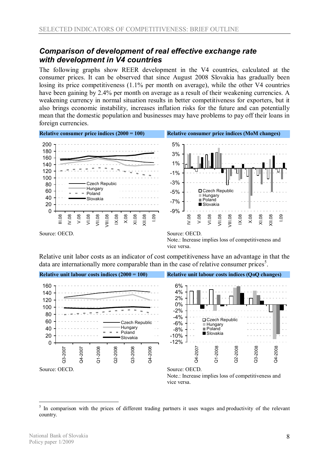#### *Comparison of development of real effective exchange rate with development in V4 countries*

The following graphs show REER development in the V4 countries, calculated at the consumer prices. It can be observed that since August 2008 Slovakia has gradually been losing its price competitiveness (1.1% per month on average), while the other V4 countries have been gaining by 2.4% per month on average as a result of their weakening currencies. A weakening currency in normal situation results in better competitiveness for exporters, but it also brings economic instability, increases inflation risks for the future and can potentially mean that the domestic population and businesses may have problems to pay off their loans in foreign currencies.



Note.: Increase implies loss of competitiveness and vice versa.

Relative unit labor costs as an indicator of cost competitiveness have an advantage in that the data are internationally more comparable than in the case of relative consumer prices<sup>5</sup>.



 $\overline{a}$ <sup>5</sup> In comparison with the prices of different trading partners it uses wages and productivity of the relevant country.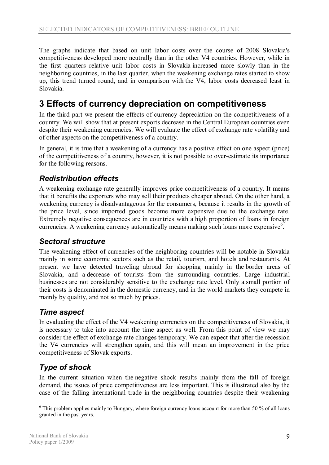The graphs indicate that based on unit labor costs over the course of 2008 Slovakia's competitiveness developed more neutrally than in the other V4 countries. However, while in the first quarters relative unit labor costs in Slovakia increased more slowly than in the neighboring countries, in the last quarter, when the weakening exchange rates started to show up, this trend turned round, and in comparison with the V4, labor costs decreased least in Slovakia.

# **3 Effects of currency depreciation on competitiveness**

In the third part we present the effects of currency depreciation on the competitiveness of a country. We will show that at present exports decrease in the Central European countries even despite their weakening currencies. We will evaluate the effect of exchange rate volatility and of other aspects on the competitiveness of a country.

In general, it is true that a weakening of a currency has a positive effect on one aspect (price) of the competitiveness of a country, however, it is not possible to over-estimate its importance for the following reasons.

## *Redistribution effects*

A weakening exchange rate generally improves price competitiveness of a country. It means that it benefits the exporters who may sell their products cheaper abroad. On the other hand, a weakening currency is disadvantageous for the consumers, because it results in the growth of the price level, since imported goods become more expensive due to the exchange rate. Extremely negative consequences are in countries with a high proportion of loans in foreign currencies. A weakening currency automatically means making such loans more expensive<sup>6</sup>.

#### *Sectoral structure*

The weakening effect of currencies of the neighboring countries will be notable in Slovakia mainly in some economic sectors such as the retail, tourism, and hotels and restaurants. At present we have detected traveling abroad for shopping mainly in the border areas of Slovakia, and a decrease of tourists from the surrounding countries. Large industrial businesses are not considerably sensitive to the exchange rate level. Only a small portion of their costs is denominated in the domestic currency, and in the world markets they compete in mainly by quality, and not so much by prices.

#### *Time aspect*

In evaluating the effect of the V4 weakening currencies on the competitiveness of Slovakia, it is necessary to take into account the time aspect as well. From this point of view we may consider the effect of exchange rate changes temporary. We can expect that after the recession the V4 currencies will strengthen again, and this will mean an improvement in the price competitiveness of Slovak exports.

## *Type of shock*

In the current situation when the negative shock results mainly from the fall of foreign demand, the issues of price competitiveness are less important. This is illustrated also by the case of the falling international trade in the neighboring countries despite their weakening

 $\overline{a}$ 

<sup>&</sup>lt;sup>6</sup> This problem applies mainly to Hungary, where foreign currency loans account for more than 50 % of all loans granted in the past years.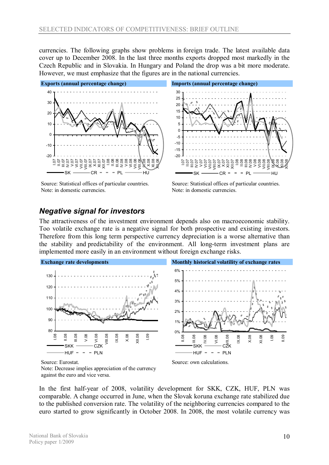currencies. The following graphs show problems in foreign trade. The latest available data cover up to December 2008. In the last three months exports dropped most markedly in the Czech Republic and in Slovakia. In Hungary and Poland the drop was a bit more moderate. However, we must emphasize that the figures are in the national currencies.



Source: Statistical offices of particular countries. Note: in domestic currencies.



Source: Statistical offices of particular countries. Note: in domestic currencies.

X.08 XI.08 I.09

II.09

## *Negative signal for investors*

The attractiveness of the investment environment depends also on macroeconomic stability. Too volatile exchange rate is a negative signal for both prospective and existing investors. Therefore from this long term perspective currency depreciation is a worse alternative than the stability and predictability of the environment. All long-term investment plans are implemented more easily in an environment without foreign exchange risks.



Source: Eurostat.

Note: Decrease implies appreciation of the currency against the euro and vice versa.

In the first half-year of 2008, volatility development for SKK, CZK, HUF, PLN was comparable. A change occurred in June, when the Slovak koruna exchange rate stabilized due to the published conversion rate. The volatility of the neighboring currencies compared to the euro started to grow significantly in October 2008. In 2008, the most volatile currency was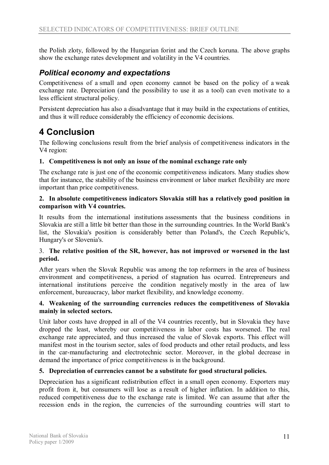the Polish zloty, followed by the Hungarian forint and the Czech koruna. The above graphs show the exchange rates development and volatility in the V4 countries.

## *Political economy and expectations*

Competitiveness of a small and open economy cannot be based on the policy of a weak exchange rate. Depreciation (and the possibility to use it as a tool) can even motivate to a less efficient structural policy.

Persistent depreciation has also a disadvantage that it may build in the expectations of entities, and thus it will reduce considerably the efficiency of economic decisions.

# **4 Conclusion**

The following conclusions result from the brief analysis of competitiveness indicators in the V4 region:

#### **1. Competitiveness is not only an issue of the nominal exchange rate only**

The exchange rate is just one of the economic competitiveness indicators. Many studies show that for instance, the stability of the business environment or labor market flexibility are more important than price competitiveness.

#### **2. In absolute competitiveness indicators Slovakia still has a relatively good position in comparison with V4 countries.**

It results from the international institutions assessments that the business conditions in Slovakia are still a little bit better than those in the surrounding countries. In the World Bank's list, the Slovakia's position is considerably better than Poland's, the Czech Republic's, Hungary's or Slovenia's.

#### 3. **The relative position of the SR, however, has not improved or worsened in the last period.**

After years when the Slovak Republic was among the top reformers in the area of business environment and competitiveness, a period of stagnation has ocurred. Entrepreneurs and international institutions perceive the condition negatively mostly in the area of law enforcement, bureaucracy, labor market flexibility, and knowledge economy.

#### **4. Weakening of the surrounding currencies reduces the competitiveness of Slovakia mainly in selected sectors.**

Unit labor costs have dropped in all of the V4 countries recently, but in Slovakia they have dropped the least, whereby our competitiveness in labor costs has worsened. The real exchange rate appreciated, and thus increased the value of Slovak exports. This effect will manifest most in the tourism sector, sales of food products and other retail products, and less in the car-manufacturing and electrotechnic sector. Moreover, in the global decrease in demand the importance of price competitiveness is in the background.

#### **5. Depreciation of currencies cannot be a substitute for good structural policies.**

Depreciation has a significant redistribution effect in a small open economy. Exporters may profit from it, but consumers will lose as a result of higher inflation. In addition to this, reduced competitiveness due to the exchange rate is limited. We can assume that after the recession ends in the region, the currencies of the surrounding countries will start to